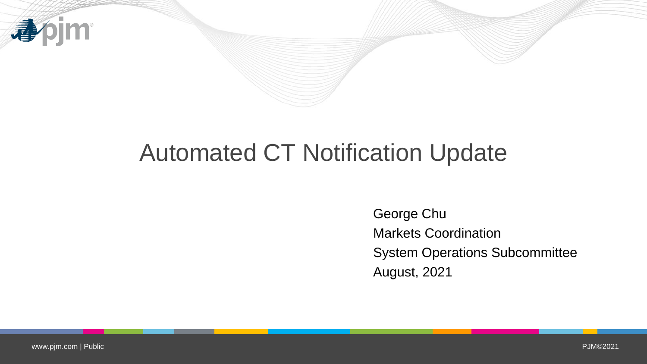

# Automated CT Notification Update

George Chu Markets Coordination System Operations Subcommittee August, 2021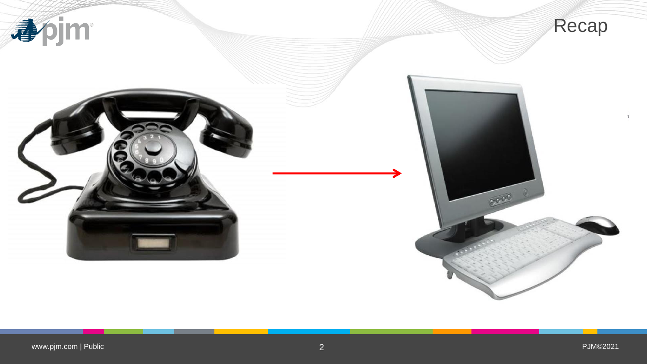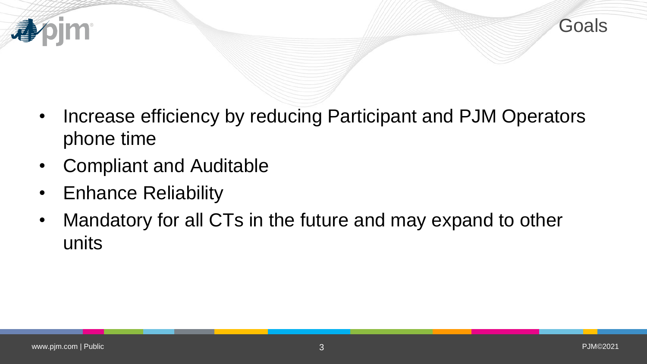

- Increase efficiency by reducing Participant and PJM Operators phone time
- Compliant and Auditable
- Enhance Reliability
- Mandatory for all CTs in the future and may expand to other units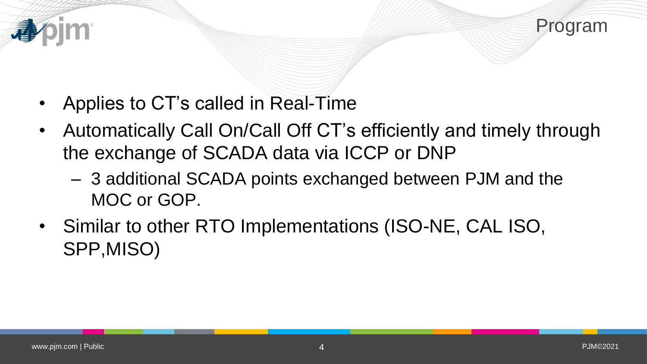



- Applies to CT's called in Real-Time
- Automatically Call On/Call Off CT's efficiently and timely through the exchange of SCADA data via ICCP or DNP
	- 3 additional SCADA points exchanged between PJM and the MOC or GOP.
- Similar to other RTO Implementations (ISO-NE, CAL ISO, SPP,MISO)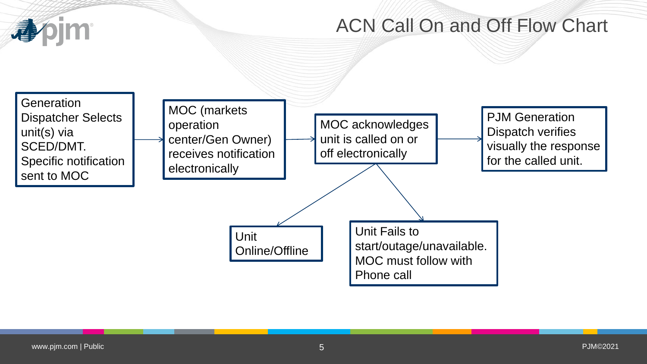

## ACN Call On and Off Flow Chart

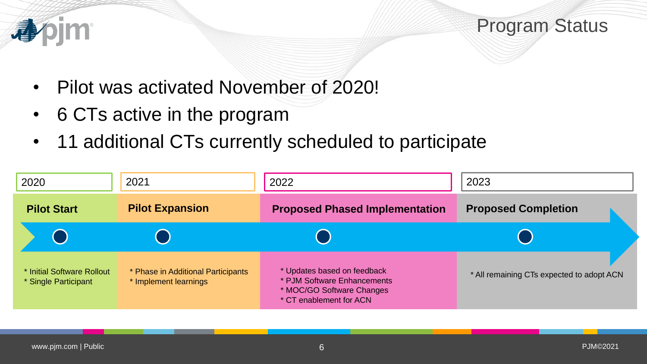

## Program Status

- Pilot was activated November of 2020!
- 6 CTs active in the program
- 11 additional CTs currently scheduled to participate

| 2020                                               | 2021                                                        | 2022                                                                                                               | 2023                                      |
|----------------------------------------------------|-------------------------------------------------------------|--------------------------------------------------------------------------------------------------------------------|-------------------------------------------|
| <b>Pilot Start</b>                                 | <b>Pilot Expansion</b>                                      | <b>Proposed Phased Implementation</b>                                                                              | <b>Proposed Completion</b>                |
|                                                    |                                                             |                                                                                                                    |                                           |
| * Initial Software Rollout<br>* Single Participant | * Phase in Additional Participants<br>* Implement learnings | * Updates based on feedback<br>* PJM Software Enhancements<br>* MOC/GO Software Changes<br>* CT enablement for ACN | * All remaining CTs expected to adopt ACN |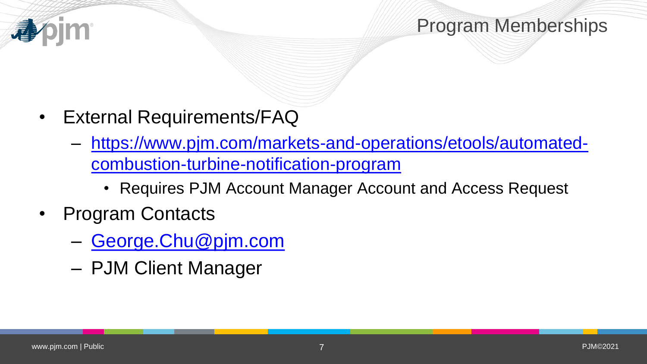

#### Program Memberships

- External Requirements/FAQ
	- [https://www.pjm.com/markets-and-operations/etools/automated](https://www.pjm.com/markets-and-operations/etools/automated-combustion-turbine-notification-program)combustion-turbine-notification-program
		- Requires PJM Account Manager Account and Access Request
- Program Contacts
	- [George.Chu@pjm.com](mailto:George.Chu@pjm.com)
	- PJM Client Manager